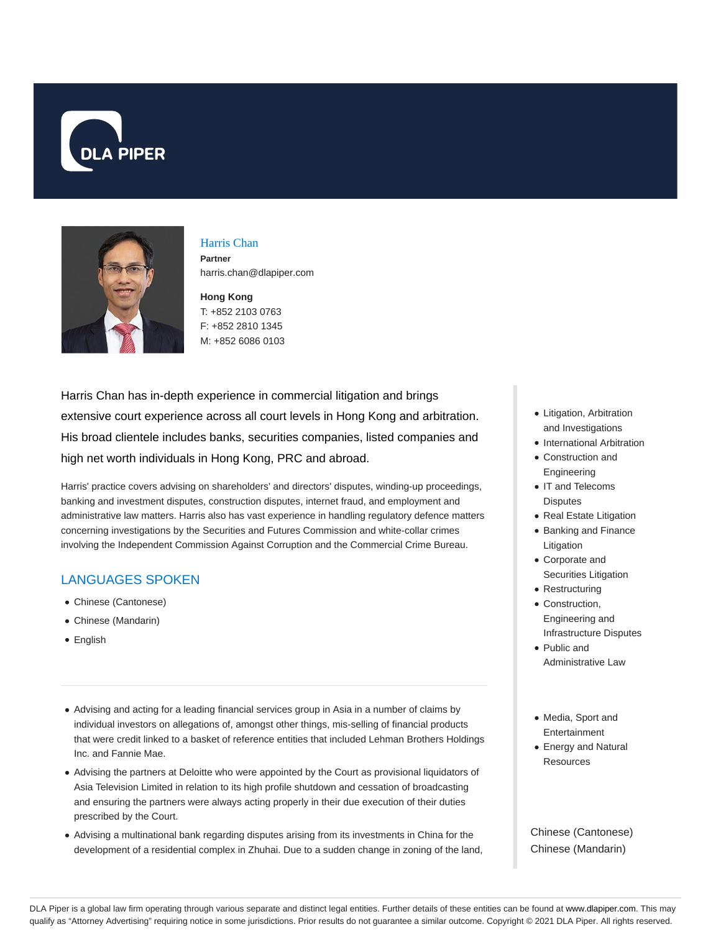



### Harris Chan

**Partner** harris.chan@dlapiper.com

**Hong Kong** T: +852 2103 0763 F: +852 2810 1345 M: +852 6086 0103

Harris Chan has in-depth experience in commercial litigation and brings extensive court experience across all court levels in Hong Kong and arbitration. His broad clientele includes banks, securities companies, listed companies and high net worth individuals in Hong Kong, PRC and abroad.

Harris' practice covers advising on shareholders' and directors' disputes, winding-up proceedings, banking and investment disputes, construction disputes, internet fraud, and employment and administrative law matters. Harris also has vast experience in handling regulatory defence matters concerning investigations by the Securities and Futures Commission and white-collar crimes involving the Independent Commission Against Corruption and the Commercial Crime Bureau.

# LANGUAGES SPOKEN

- Chinese (Cantonese)
- Chinese (Mandarin)
- English
- Advising and acting for a leading financial services group in Asia in a number of claims by individual investors on allegations of, amongst other things, mis-selling of financial products that were credit linked to a basket of reference entities that included Lehman Brothers Holdings Inc. and Fannie Mae.
- Advising the partners at Deloitte who were appointed by the Court as provisional liquidators of Asia Television Limited in relation to its high profile shutdown and cessation of broadcasting and ensuring the partners were always acting properly in their due execution of their duties prescribed by the Court.
- Advising a multinational bank regarding disputes arising from its investments in China for the development of a residential complex in Zhuhai. Due to a sudden change in zoning of the land,
- Litigation, Arbitration and Investigations
- International Arbitration
- Construction and Engineering
- IT and Telecoms **Disputes**
- Real Estate Litigation
- Banking and Finance Litigation
- Corporate and Securities Litigation
- Restructuring
- Construction, Engineering and Infrastructure Disputes
- Public and Administrative Law
- Media, Sport and Entertainment
- Energy and Natural **Resources**

Chinese (Cantonese) Chinese (Mandarin)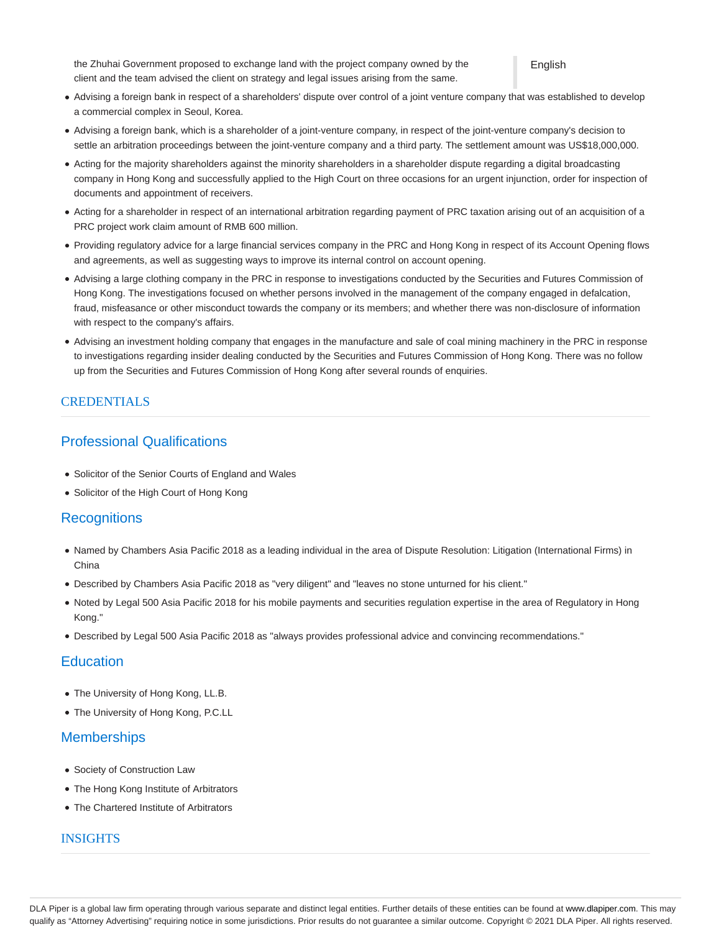the Zhuhai Government proposed to exchange land with the project company owned by the English client and the team advised the client on strategy and legal issues arising from the same.

- Advising a foreign bank in respect of a shareholders' dispute over control of a joint venture company that was established to develop a commercial complex in Seoul, Korea.
- Advising a foreign bank, which is a shareholder of a joint-venture company, in respect of the joint-venture company's decision to settle an arbitration proceedings between the joint-venture company and a third party. The settlement amount was US\$18,000,000.
- Acting for the majority shareholders against the minority shareholders in a shareholder dispute regarding a digital broadcasting company in Hong Kong and successfully applied to the High Court on three occasions for an urgent injunction, order for inspection of documents and appointment of receivers.
- Acting for a shareholder in respect of an international arbitration regarding payment of PRC taxation arising out of an acquisition of a PRC project work claim amount of RMB 600 million.
- Providing regulatory advice for a large financial services company in the PRC and Hong Kong in respect of its Account Opening flows and agreements, as well as suggesting ways to improve its internal control on account opening.
- Advising a large clothing company in the PRC in response to investigations conducted by the Securities and Futures Commission of Hong Kong. The investigations focused on whether persons involved in the management of the company engaged in defalcation, fraud, misfeasance or other misconduct towards the company or its members; and whether there was non-disclosure of information with respect to the company's affairs.
- Advising an investment holding company that engages in the manufacture and sale of coal mining machinery in the PRC in response to investigations regarding insider dealing conducted by the Securities and Futures Commission of Hong Kong. There was no follow up from the Securities and Futures Commission of Hong Kong after several rounds of enquiries.

# **CREDENTIALS**

# Professional Qualifications

- Solicitor of the Senior Courts of England and Wales
- Solicitor of the High Court of Hong Kong

# **Recognitions**

- Named by Chambers Asia Pacific 2018 as a leading individual in the area of Dispute Resolution: Litigation (International Firms) in China
- Described by Chambers Asia Pacific 2018 as "very diligent" and "leaves no stone unturned for his client."
- Noted by Legal 500 Asia Pacific 2018 for his mobile payments and securities regulation expertise in the area of Regulatory in Hong Kong."
- Described by Legal 500 Asia Pacific 2018 as "always provides professional advice and convincing recommendations."

#### **Education**

- The University of Hong Kong, LL.B.
- The University of Hong Kong, P.C.LL

### **Memberships**

- Society of Construction Law
- The Hong Kong Institute of Arbitrators
- The Chartered Institute of Arbitrators

### INSIGHTS

DLA Piper is a global law firm operating through various separate and distinct legal entities. Further details of these entities can be found at www.dlapiper.com. This may qualify as "Attorney Advertising" requiring notice in some jurisdictions. Prior results do not guarantee a similar outcome. Copyright @ 2021 DLA Piper. All rights reserved.